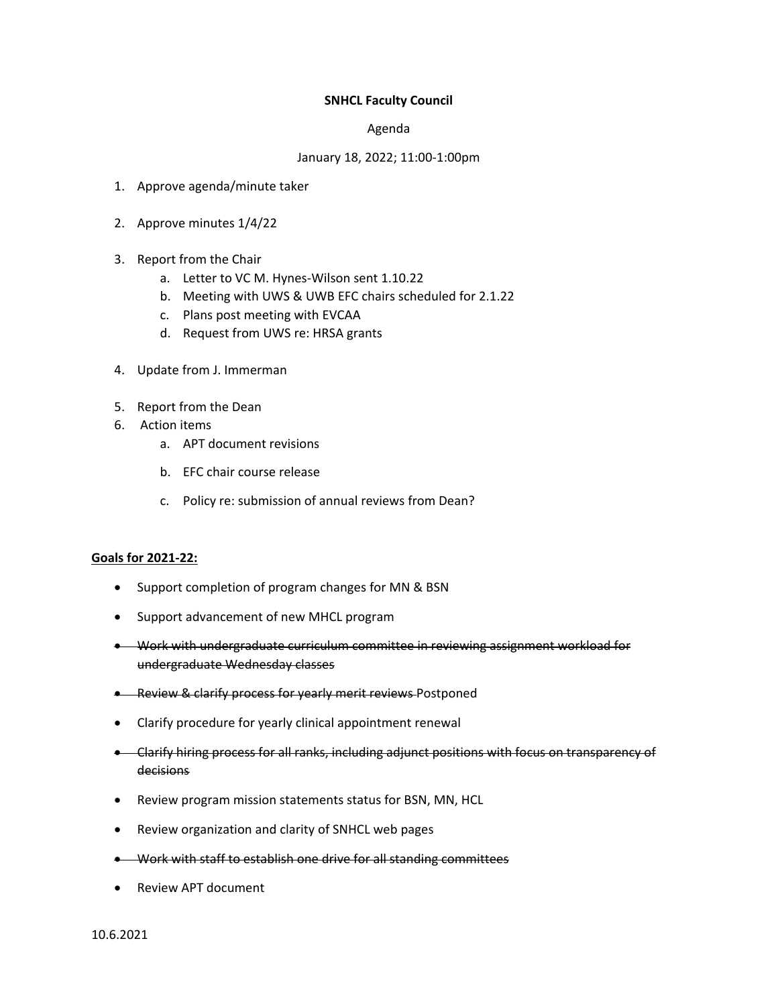## **SNHCL Faculty Council**

## Agenda

## January 18, 2022; 11:00-1:00pm

- 1. Approve agenda/minute taker
- 2. Approve minutes 1/4/22
- 3. Report from the Chair
	- a. Letter to VC M. Hynes-Wilson sent 1.10.22
	- b. Meeting with UWS & UWB EFC chairs scheduled for 2.1.22
	- c. Plans post meeting with EVCAA
	- d. Request from UWS re: HRSA grants
- 4. Update from J. Immerman
- 5. Report from the Dean
- 6. Action items
	- a. APT document revisions
	- b. EFC chair course release
	- c. Policy re: submission of annual reviews from Dean?

## **Goals for 2021-22:**

- Support completion of program changes for MN & BSN
- Support advancement of new MHCL program
- Work with undergraduate curriculum committee in reviewing assignment workload for undergraduate Wednesday classes
- **-** Review & clarify process for yearly merit reviews Postponed
- Clarify procedure for yearly clinical appointment renewal
- Clarify hiring process for all ranks, including adjunct positions with focus on transparency of decisions
- Review program mission statements status for BSN, MN, HCL
- Review organization and clarity of SNHCL web pages
- Work with staff to establish one drive for all standing committees
- Review APT document